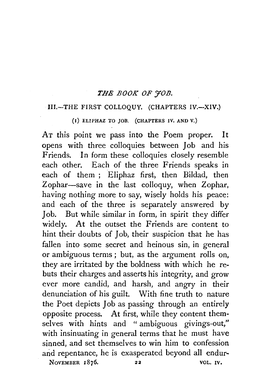## *THE BOOK OF YOB.*

#### III.-THE FIRST COLLOQUY. (CHAPTERS IV.-XIV.)

(1) ELIPHAZ TO JOB. (CHAPTERS IV. AND V.)

AT this point we pass into the Poem proper. It opens with three colloquies between Job and his Friends. In form these colloquies closely resemble each other. Each of the three Friends speaks in each of them ; Eliphaz first, then Bildad, then Zophar-save in the last colloquy, when Zophar, having nothing more to say, wisely holds his peace: and each of the three is separately answered by Job. But while similar in form, in spirit they differ widely. At the outset the Friends are content to hint their doubts of Job, their suspicion that he has fallen into some secret and heinous sin, in general or ambiguous terms ; but, as the argument rolls on, they are irritated by the boldness with which he rebuts their charges and asserts his integrity, and grow ever more candid, and harsh, and angry in their denunciation of his guilt. With fine truth to nature the Poet depicts Job as passing through an entirely opposite process. At first, while they content themselves with hints and " ambiguous givings-out," with insinuating in general terms that he must have sinned, and set themselves to win him to confession and repentance, he is exasperated beyond all endur-NOVEMBER 1876. 22 VOL. IV.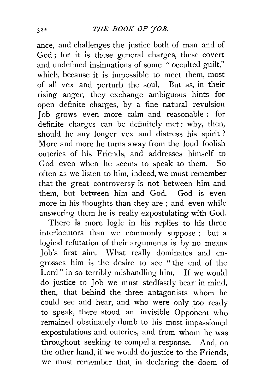ance, and challenges the justice both of man and of God; for it is these general charges, these covert and undefined insinuations of some " occulted guilt," which, because it is impossible to meet them, most of all vex and perturb the soul. But as, in their rising anger, they exchange ambiguous hints for open definite charges, by a fine natural revulsion Job grows even more calm and reasonable : for definite charges can be definitely met : why, then, should he any longer vex and distress his spirit ? More and more he turns away from the loud foolish outcries of his Friends, and addresses himself to God even when he seems to speak to them. So often as we listen to him, indeed, we must remember that the great controversy is not between him and them, but between him and God. God is even more in his thoughts than they are ; and even while answering them he is really expostulating with God.

There is more logic in his replies to his three interlocutors than we commonly suppose ; but a logical refutation of their arguments is by no means Job's first aim. What really dominates and engrosses him is the desire to see " the end of the Lord" in so terribly mishandling him. If we would do justice to Job we must stedfastly bear' in mind, then, that behind the three antagonists whom he could see and hear, and who were only too ready to speak, there stood an invisible Opponent who remained obstinately dumb to his most impassioned expostulations and outcries, and from whom he was throughout seeking to compel a response. And, on the other hand, if we would do justice to the Friends, we must remember that, in declaring the doom of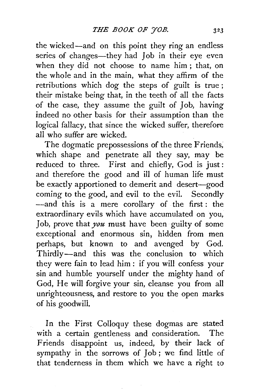the wicked-and on this point they ring an endless series of changes—they had Job in their eye even when they did not choose to name him ; that, on the whole and in the main, what they affirm of the retributions which dog the steps of guilt is true ; their mistake being that, in the teeth of all the facts of the case, they assume the guilt of Job, having indeed no other basis for their assumption than the logical fallacy, that since the wicked suffer, therefore all who suffer are wicked.

The dogmatic prepossessions of the three Friends, which shape and penetrate all they say, may be reduced to three. First and chiefly, God is just: and therefore the good and ill of human life must be exactly apportioned to demerit and desert-good coming to the good, and evil to the evil. Secondly --and this is a mere corollary of the first : the extraordinary evils which have accumulated on you, Job, prove that *you* must have been guilty of some exceptional and enormous sin, hidden from men perhaps, but known to and avenged by God. Thirdly-and this was the conclusion to which they were fain to lead him : if you will confess your sin and humble yourself under the mighty hand of God, He will forgive your sin, cleanse you from all unrighteousness, and restore to you the open marks of his goodwill.

In the First Colloquy these dogmas are stated with a certain gentleness and consideration. The Friends disappoint us, indeed, by their lack of sympathy in the sorrows of Job ; we find little of that tenderness in them which we have a right to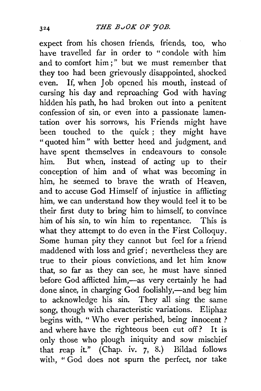expect from his chosen friends, friends, too, who have travelled far in order to "condole with him and to comfort him;" but we must remember that they too had been grievously disappointed, shocked even. If, when Job opened his mouth, instead of cursing his day and reproaching God with having hidden his path, he had broken out into a penitent confession of sin, or even into a passionate lamentation over his sorrows, his Friends might have been touched to the quick ; they might have "quoted him" with better heed and judgment, and have spent themselves in endeavours to console him. But when, instead of acting up to their conception of him and of what was becoming in him, he seemed to brave the wrath of Heaven, and to accuse God Himself of injustice in afflicting him, we can understand how they would feel it to be their first duty to bring him to himself, to convince him of his sin, to win him to repentance. This is what they attempt to do even in the First Colloquy. Some human pity they cannot but feel for a friend maddened with loss and grief; nevertheless they are true to their pious convictions, and let him know that, so far as they can see, he must have sinned before God afflicted him,-as very certainly he had done since, in charging God foolishly,-and beg him to acknowledge his sin. They all sing the same song, though with characteristic variations. Eliphaz begins with, "Who ever perished, being innocent ? and where have the righteous been cut off? It is only those who plough iniquity and sow mischief that reap it." (Chap. iv. 7, 8.) Bildad follows with, "God does not spurn the perfect, nor take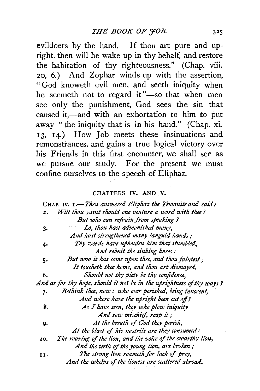evildoers by the hand. If thou art pure and upright, then will he wake up in thy behalf, and restore the habitation of thy righteousness." (Chap. viii. 20, 6.) And Zophar winds up with the assertion, " God knoweth evil men, and seeth iniquity when he seemeth not to regard it"-so that when men see only the punishment, God sees the sin that caused it,-and with an exhortation to him to put away " the iniquity that is in his hand." (Chap. xi. 13, 14.) How Job meets these insinuations and remonstrances, and gains a true logical victory over his Friends in this first encounter, we shall see as we pursue our study. For the present we must confine ourselves to the speech of Eliphaz.

### CHAPTERS IV. AND V.

|     | CHAP. IV. 1.—Then answered Eliphaz the Temanite and said:              |
|-----|------------------------------------------------------------------------|
| 2.  | Wilt thou yaint should one venture a word with thee?                   |
|     | But who can refrain from speaking ?                                    |
| 3.  | Lo, thou hast admonished many,                                         |
|     | And hast strengthened many languid hands:                              |
| 4.  | Thy words have upholden him that stumbled.                             |
|     | And reknit the sinking knees:                                          |
| 5.  | But now it has come upon thee, and thou faintest;                      |
|     | It toucheth thee home, and thou art dismayed.                          |
| 6.  | Should not thy piety be thy confidence,                                |
|     | And as for thy hope, should it not be in the uprightness of thy ways ? |
| 7.  | Bethink thee, now: who ever perished, being innocent,                  |
|     | And where have the upright been cut off?                               |
| 8.  | As I have seen, they who plow iniquity                                 |
|     | And sow mischief, reap it;                                             |
| 9.  | At the breath of God they perish,                                      |
|     | At the blast of his nostrils are they consumed:                        |
| IO. | The roaring of the lion, and the voice of the swarthy lion,            |
|     | And the teeth of the young lion, are broken;                           |
| 11. | The strong lion roameth for lack of prey,                              |
|     | And the whelps of the lioness are scattered abroad.                    |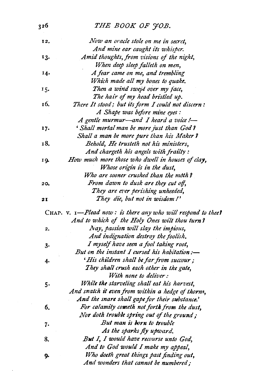# 326 *THE BOOK OF YOB.*

| 12, | Now an oracle stole on me in secret,                         |
|-----|--------------------------------------------------------------|
|     | And mine ear caught its whisper.                             |
| 13. | Amid thoughts, from visions of the night,                    |
|     | When deep sleep falleth on men,                              |
| 14. | A fear came on me, and trembling                             |
|     | Which made all my bones to quake.                            |
| 15. | Then a wind swept over my face,                              |
|     | The hair of my head bristled up.                             |
| 16. | There It stood; but its form I could not discern:            |
|     | A Shape was before mine eyes:                                |
|     | A gentle murmur-and I heard a voice !-                       |
| 17. | ' Shall mortal man be more just than God?                    |
|     | Shall a man be more pure than his Maker?                     |
| 18. | Behold, He trusteth not his ministers,                       |
|     | And chargeth his angels with frailty:                        |
| 19. | How much more those who dwell in houses of clay,             |
|     | Whose origin is in the dust,                                 |
|     | Who are sooner crushed than the moth?                        |
| 20. | From dawn to dusk are they cut off,                          |
|     | They are ever perishing unheeded,                            |
| 21  | They die, but not in wisdom!'                                |
|     | CHAP. V. I-Plead now: is there any who will respond to thee? |
|     | And to which of the Holy Ones wilt thou turn?                |
| 2.  | Nay, passion will slay the impious,                          |
|     | And indignation destroy the foolish.                         |
| з.  | I myself have seen a fool taking root,                       |
|     | But on the instant I cursed his habitation:-                 |
| 4.  | 'His children shall be far from succour;                     |
|     | They shall crush each other in the gate,                     |
|     | With none to deliver:                                        |
| 5.  | While the starveling shall eat his harvest,                  |
|     | And snatch it even from within a hedge of thorns,            |
|     | And the snare shall gape for their substance.'               |
| 6.  | For calamity cometh not forth from the dust,                 |
|     | Nor doth trouble spring out of the ground;                   |
| 7.  | But man is born to trouble                                   |
|     | As the sparks fly upward.                                    |
| 8.  | But I, I would have recourse unto God,                       |
|     | And to God would I make my appeal,                           |
| g.  | Who doeth great things past finding out,                     |
|     |                                                              |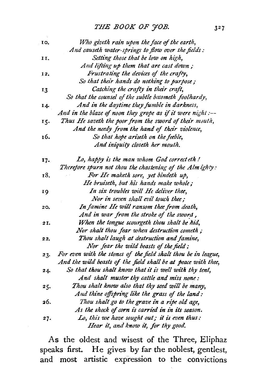| 10.   | Who giveth rain upon the face of the earth,                    |
|-------|----------------------------------------------------------------|
|       | And causeth water-springs to flow over the fields:             |
| 11.   | Setting those that be low on high,                             |
|       | And lifting up them that are cast down;                        |
| 12,   | Frustrating the devices of the crafty,                         |
|       | So that their hands do nothing to purpose;                     |
| 13    | Catching the crafty in their craft,                            |
|       | So that the counsel of the subtle becometh foolhardy,          |
| 14.   | And in the daytime they fumble in darkness,                    |
|       | And in the blaze of noon they grope as if it were night :--    |
| 15.   | Thus He saveth the poor from the sword of their mouth,         |
|       | And the needy from the hand of their violence,                 |
| 16.   | So that hope ariseth on the feeble,                            |
|       | And iniquity closeth her mouth.                                |
| $17-$ | Lo, happy is the man whom God correct eth!                     |
|       | Therefore spurn not thou the chastening of the Alm ighty:      |
| 18.   | For He maketh sore, yet bindeth up,                            |
|       | He bruiseth, but his hands make whole;                         |
| 19    | In six troubles will He deliver thee,                          |
|       | Nor in seven shall evil touch thee;                            |
| 20.   | In famine He will ransom thee from death,                      |
|       | And in war from the stroke of the sword,                       |
| 21.   | When the tongue scourgeth thou shalt be hid,                   |
|       | Nor shalt thou fear when destruction cometh;                   |
| 22.   | Thou shalt laugh at destruction and famine,                    |
|       | Nor fear the wild beasts of the field;                         |
| 23.   | For even with the stones of the field shalt thou be in league, |
|       | And the wild beasts of the field shall be at peace with thee,  |
| 24.   | So that thou shalt know that it is well with thy tent,         |
|       | And shalt muster thy cattle and miss none:                     |
| 25.   | Thou shalt know also that thy seed will be many,               |
|       | And thine offspring like the grass of the land:                |
| 26.   | Thou shalt go to the grave in a ripe old age,                  |
|       | As the shock of corn is carried in in its season.              |
| 27.   | Lo, this we have sought out; it is even thus:                  |
|       | Hear it, and know it, for thy good.                            |

As the oldest and wisest of the Three, Eliphaz speaks first. He gives by far the noblest, gentlest, and most artistic expression to the convictions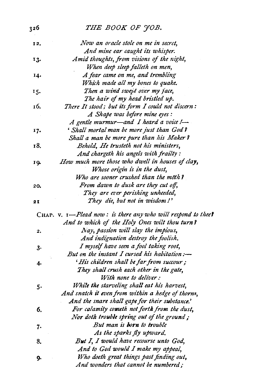# 326 *THE BOOK OF JOB.*

| 12, | Now an oracle stole on me in secret,                         |
|-----|--------------------------------------------------------------|
|     | And mine ear caught its whisper.                             |
| 13. | Amid thoughts, from visions of the night,                    |
|     | When deep sleep falleth on men,                              |
| 14. | A fear came on me, and trembling                             |
|     | Which made all my bones to quake.                            |
| 15. | Then a wind swept over my face,                              |
|     | The hair of my head bristled up.                             |
| 16. | There It stood; but its form I could not discern:            |
|     | A Shape was before mine eyes:                                |
|     | A gentle murmur-and I heard a voice I-                       |
| 17. | ' Shall mortal man be more just than God?                    |
|     | Shall a man be more pure than his Maker?                     |
| 18, | Behold, He trusteth not his ministers,                       |
|     | And chargeth his angels with frailty:                        |
| 19. | How much more those who dwell in houses of clay,             |
|     | Whose origin is in the dust,                                 |
|     | Who are sooner crushed than the moth?                        |
| 20. | From dawn to dusk are they cut off,                          |
|     | They are ever perishing unheeded,                            |
| 2 I | They die, but not in wisdom!'                                |
|     | CHAP. V. I-Plead now: is there any who will respond to thee? |
|     | And to which of the Holy Ones wilt thou turn?                |
|     | Nay, passion will slay the impious,                          |
| 2.  | And indignation destroy the foolish.                         |
|     | I myself have seen a fool taking root,                       |
| з.  | But on the instant I cursed his habitation :-                |
|     | 'His children shall be far from succour;                     |
| 4.  | They shall crush each other in the gate,                     |
|     | With none to deliver:                                        |
|     | While the starveling shall eat his harvest,                  |
| 5.  | And snatch it even from within a hedge of thorns,            |
|     | And the snare shall gape for their substance.'               |
| 6.  | For calamity cometh not forth from the dust,                 |
|     | Nor doth trouble spring out of the ground;                   |
|     | But man is born to trouble                                   |
| 7.  | As the sparks fly upward.                                    |
| 8.  | But I, I would have recourse unto God,                       |
|     | And to God would I make my appeal,                           |
|     | Who doeth great things past finding out,                     |
| 9.  | And wonders that cannot be numbered;                         |
|     |                                                              |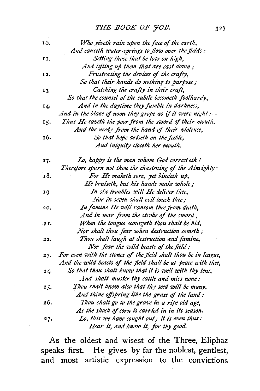| 10, | Who giveth rain upon the face of the earth,                    |
|-----|----------------------------------------------------------------|
|     | And causeth water-springs to flow over the fields:             |
| 11. | Setting those that be low on high,                             |
|     | And lifting up them that are cast down;                        |
| 12, | Frustrating the devices of the crafty,                         |
|     | So that their hands do nothing to purpose;                     |
| 13  | Catching the crafty in their craft,                            |
|     | So that the counsel of the subtle becometh foolhardy,          |
| 14. | And in the daytime they fumble in darkness,                    |
|     | And in the blaze of noon they grope as if it were night :--    |
| 15. | Thus He saveth the poor from the sword of their mouth,         |
|     | And the needy from the hand of their violence,                 |
| 16. | So that hope ariseth on the feeble,                            |
|     | And iniquity closeth her mouth.                                |
| 17. | Lo, happy is the man whom God correct eth!                     |
|     | Therefore spurn not thou the chastening of the Almighty:       |
| 18. | For He maketh sore, yet bindeth up,                            |
|     | He bruiseth, but his hands make whole;                         |
| 19  | In six troubles will He deliver thee,                          |
|     | Nor in seven shall evil touch thee;                            |
| 20. | In famine He will ransom thee from death,                      |
|     | And in war from the stroke of the sword,                       |
| 2I. | When the tongue scourgeth thou shalt be hid,                   |
|     | Nor shalt thou fear when destruction cometh;                   |
| 22. | Thou shalt laugh at destruction and famine,                    |
|     | Nor fear the wild beasts of the field;                         |
| 23. | For even with the stones of the field shalt thou be in league, |
|     | And the wild beasts of the field shall be at peace with thee,  |
| 24. | So that thou shalt know that it is well with thy tent,         |
|     | And shalt muster thy cattle and miss none:                     |
| 25. | Thou shalt know also that thy seed will be many,               |
|     | And thine offspring like the grass of the land:                |
| 26. | Thou shalt go to the grave in a ripe old age,                  |
|     | As the shock of corn is carried in in its season.              |
| 27. | Lo, this we have sought out; it is even thus:                  |
|     | Hear it, and know it, for thy good.                            |

As the oldest and wisest of the Three, Eliphaz speaks first. He gives by far the noblest, gentlest, and most artistic expression to the convictions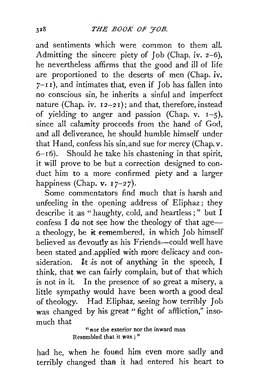and sentiments which were common to them all. Admitting the sincere piety of Job (Chap. iv. 2-6), he nevertheless affirms that the good and ill of life are proportioned to the deserts of men (Chap. iv. *7-*I I), and intimates that, even if Job has fallen into no conscious sin, he inherits a sinful and imperfect nature (Chap. iv.  $12-21$ ); and that, therefore, instead of yielding to anger and passion (Chap. v.  $I-5$ ), since all calamity proceeds from the hand of God, and all deliverance, he should humble himself under that Hand, confess his sin,and sue for mercy (Chap. v.  $6-16$ ). Should he take his chastening in that spirit, it will prove to be but a correction designed to conduct him to a more confirmed piety and a larger happiness (Chap.  $v. 17-27$ ).

Some commentators find much that is harsh and unfeeling in the opening address of Eliphaz; they describe it as "haughty, cold, and heartless;" but I confess I do not see how the theology of that agea theology, be it remembered, in which Job himself believed as devoutly as his Friends-could well have been stated and applied with more delicacy and consideration. It is not of anything in the speech, I think, that we can fairly complain, but of that which is not in it. In the presence of so great a misery, a little sympathy would have been worth a good deal of theology. Had Eliphaz, seeing how terribly Job was changed by his great "fight of affliction," insomuch that

"nor the exterior nor the inward man Resembled that it was ; "

had he, when he found him even more sadly and terribly changed than it had entered his heart to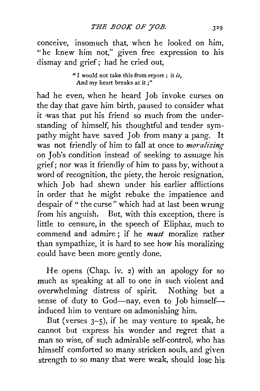conceive, insomuch that, when he looked on him, "he knew him not," given free expression to his dismay and grief; had he cried out,

> "I would not take this from report ; it *is,*  And my heart breaks at it ;"

had he even, when he heard Job invoke curses on the day that gave him birth, paused to consider what it was that put his friend so much from the understanding of himself, his thoughtful and tender sympathy might have saved Job from many a pang. It was not friendly of him to fall at once to *moralizing*  on Job's condition instead of seeking to assuage his grief; nor was it friendly of him to pass by, without a word of recognition, the piety, the heroic resignation; which Job had shewn under his earlier afflictions in order that he might rebuke the impatience and despair of " the curse" which had at last been wrung from his anguish. But, with this exception, there is little to censure, in the speech of Eliphaz, much to commend and admire ; if he *must* moralize rather than sympathize, it is hard to see how his moralizing could have been more gently done.

He opens (Chap. iv. 2) with an apology for so much as speaking at all to one in such violent and overwhelming distress of spirit. Nothing but a sense of duty to God-nay, even to Job himselfinduced him to venture on admonishing him.

But (verses  $3-5$ ), if he may venture to speak, he cannot but express his wonder and regret that a man so wise, of such admirable self-control, who has himself comforted so many stricken souls, and given strength to so many that were weak, should lose his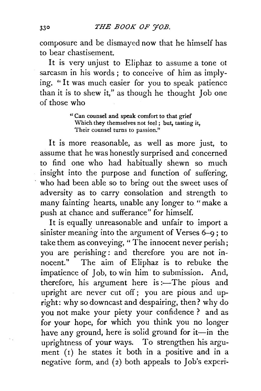composure and be dismayed now that he himself has to bear chastisement.

It is very unjust to Eliphaz to assume a tone ot sarcasm in his words; to conceive of him as implying. "It was much easier for you to speak patience than it is to shew it," as though he thought Job one of those who

> " Can counsel and speak comfort to that grief Which they themselves not feel ; but, tasting it, Their counsel turns to passion."

It is more reasonable, as well as more just, to assume that he was honestly surprised and concerned to find one who had habitually shewn so much insight into the purpose and function of suffering, who had been able so to bring out the sweet uses of adversity as to carry consolation and strength to many fainting hearts, unable any longer to " make a push at chance and sufferance" for himself.

It is equally unreasonable and unfair to import a sinister meaning into the argument of Verses 6-9 ; to take them as conveying, " The innocent never perish; you are perishing: and therefore you are not in-<br>nocent." The aim of Eliphaz is to rebuke the The aim of Eliphaz is to rebuke the impatience of Job, to win him to submission. And, therefore, his argument here is :- The pious and upright are never cut off; you are pious and upright: why so downcast and despairing, then? why do you not make your piety your confidence ? and as for your hope, for which you think you no longer have any ground, here is solid ground for it-in the uprightness of your ways. To strengthen his argument  $(1)$  he states it both in a positive and in a negative form, and  $(2)$  both appeals to Job's experi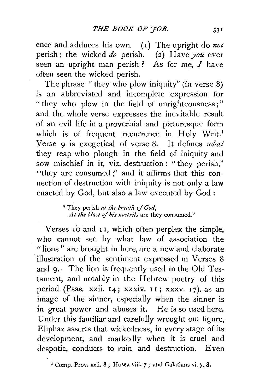ence and adduces his own. (1) The upright do not perish; the wicked *do* perish. (2) Have *you* ever seen an upright man perish? As for me,  $I$  have often seen the wicked perish.

The phrase "they who plow iniquity" (in verse 8) is an abbreviated and incomplete expression for " they who plow in the field of unrighteousness;" and the whole verse expresses the inevitable result of an evil life in a proverbial and picturesque form which is of frequent recurrence in Holy Writ.<sup>1</sup> Verse 9 is exegetical of verse 8. It defines *what*  they reap who plough in the field of iniquity and sow mischief in it, viz. destruction: "they perish," ''they are consumed ;" and it affirms that this connection of destruction with iniquity is not only a law enacted by God, but also a law executed by God :

> " They perish *at the breath of God,*  At the blast of his nostrils are they consumed."

Verses 10 and II, which often perplex the simple, who cannot see by what law of association the "lions" are brought in here, are a new and elaborate illustration of the sentiment expressed in Verses 8 and 9. The lion is frequently used in the Old Testament, and notably in the Hebrew poetry of this period (Psas. xxii.  $14$ ; xxxiv.  $11$ ; xxxv.  $17$ ), as an image of the sinner, especially when the sinner is in great power and abuses it. He is so used here. Under this familiar and carefully wrought out figure, Eliphaz asserts that wickedness, in every stage of its development, and markedly when it is cruel and despotic, conducts to ruin and destruction. Even

1 Comp. Prov. xxii. 8; Hosea \'iii. *7;* and Galatians vi. *7,* 8.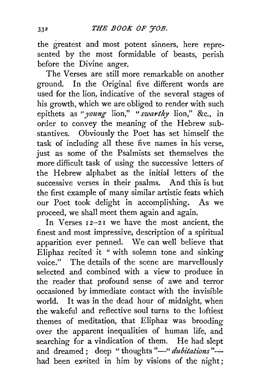the greatest and most potent sinners, here represented by the most formidable of beasts, perish before the Divine anger.

The Verses are still more remarkable on another ground. In the Original five different words are used for the lion, indicative of the several stages of his growth, which we are obliged to render with such epithets as *"young* lion," *"swarthy* lion," &c., in order to convey the meaning of the Hebrew substantives. Obviously the Poet has set himself the task of including all these five names in his verse, just as some of the Psalmists set themselves the more difficult task of using the successive letters of the Hebrew alphabet as the initial letters of the successive verses in their psalms. And this is but the first example of many similar artistic feats which our Poet took delight in accomplishing. As we proceed, we shall meet them again and again.

In Verses 12-21 we have the most ancient, the finest and most impressive, description of a spiritual apparition ever penned. We can well believe that Eliphaz recited it " with solemn tone and sinking voice." The details of the scene are marvellously selected and combined with a view to produce in the reader that profound sense of awe and terror occasioned by immediate contact with the invisible world. It was in the dead hour of midnight, when the wakeful and reflective soul turns to the loftiest themes of meditation, that Eliphaz was brooding over the apparent inequalities of human life, and searching for a vindication of them. He had slept and dreamed; deep "thoughts"-" *dubitations*"had been excited in him by visions of the night;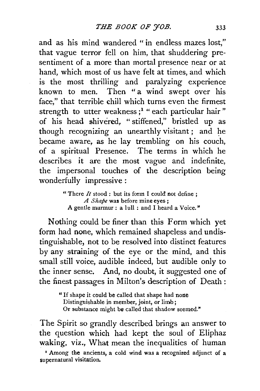and as his mind wandered " in endless mazes lost," that vague terror fell on him, that shuddering presentiment of a more than mortal presence near or at hand, which most of us have felt at times, and which is the most thrilling and paralyzing experience known to men. Then " a wind swept over his face," that terrible chill which turns even the firmest strength to utter weakness;<sup>1</sup> "each particular hair" of his head shivered, " stiffened," bristled up as though recognizing an unearthly visitant; and he became aware, as he lay trembling on his couch, of a spiritual Presence. The terms in which he describes it are the most vague and indefinite, the impersonal touches of the description being wonderfully impressive:

> " There *It* stood : but its form I could not define ; *A Shape* was before mine eyes·; A gentle murmur : a lull : and I heard a Voice."

Nothing could be finer than this Form which yet form had none, which remained shapeless and undistinguishable, not to be resolved into distinct features by any straining of the eye or the mind, and this small still voice, audible indeed, but audible only to the inner sense. And, no doubt, it suggested one of the finest passages in Milton's description of Death:

> " If shape it could be called that shape had none Distinguishable in member, joint, or limb; Or substance might be called that shadow seemed."

The Spirit so grandly described brings an answer to the question which had kept the soul of Eliphaz waking, viz., What mean the inequalities of human

*•* Among the ancients, a cold wind was a recognized adjunct of a supernatural visitation.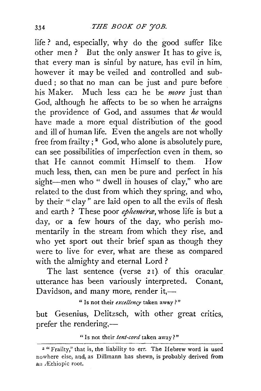life ? and, especially, why do the good suffer like other men? But the only answer It has to give is, that every man is sinful by nature, has evil in him, however it may be veiled and controlled and subdued ; so that no man can be just and pure before his Maker. Much less ca:1 he be *more* just than God, although he affects to be so when he arraigns the providence of God, and assumes that *he* would have made a more equal distribution of the good and ill of human life. Even the angels are not wholly free from frailty;<sup>2</sup> God, who alone is absolutely pure, can see possibilities of imperfection even in them, so that He cannot commit Himself to them. How much less, then, can men be pure and perfect in his sight-men who " dwell in houses of clay," who are related to the dust from which they spring, and who, by their " clay" are laid open to all the evils of flesh and earth ? These poor *ephemera,* whose life is but a day, or a few hours of the day, who perish momentarily in the stream from which they rise, and who yet sport out their brief span as though they were to live for ever, what are these as compared with the almighty and eternal Lord ?

The last sentence (verse 21) of this oracular utterance has been variously interpreted. Conant, Davidson, and many more, render it,-

" Is not their *excellency* taken away?"

but Gesenius, Delitzsch, with other great critics, prefer the rendering,—

"Is not their *tent-cord* taken away?"

*z* "Frailty," that is, the liability to err. The Hebrew word is used nowhere else, and, as Dillmann has shewn, is probably derived from an Æthiopic root.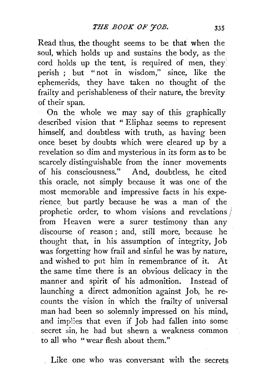Read thus, the thought seems to be that when the soul, which holds up and sustains the body, as the cord holds up the tent, is required of men, they perish ; but "not in wisdom," since, like the ephemerids, they have taken no thought of the frailty and perishableness of their nature, the brevity of their span.

On the whole we may say of this graphically described vision that " Eliphaz seems to represent himself, and doubtless with truth, as having been once beset by doubts which were cleared up by a revelation so dim and mysterious in its form as to be scarcely distinguishable from the inner movements of his consciousness." And, doubtless, he cited this oracle, not simply because it was one of the most memorable and impressive facts in his experience\_ but partly because he was a man of the prophetic order, to whom visions and revelations  $/$ from Heaven were a surer testimony than any discourse of reason ; and, still more, because he thought that, in his assumption of integrity, Job was forgetting how frail and sinful he was by nature, and wished to put him in remembrance of it. At the same time there is an obvious delicacy in the manner and spirit of his admonition. Instead of launching a direct admonition against Job, he recounts the vision in which the frailty of universal man had been so solemnly impressed on his mind, and implies that even if Job had fallen into some secret sin, he had but shewn a weakness common to all who "wear flesh about them."

Like one who was conversant with the secrets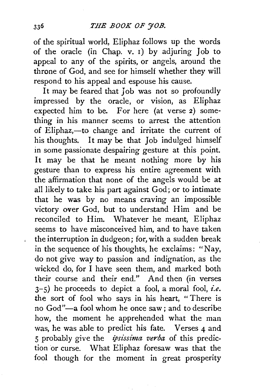### *THE BOOK OF 'JOB.*

of the spiritual world, Eliphaz follows up the words of the oracle (in Chap. v. 1) by adjuring Job to appeal to any of the spirits, or angels, around the throne of God, and see for himself whether they will respond to his appeal and espouse his cause.

It may be feared that Job was not so profoundly impressed by the oracle, or vision, as Eliphaz expected him to be. For here (at verse 2) something in his manner seems to arrest the attention of Eliphaz,-to change and irritate the current of his thoughts. It may be that Job indulged himself in some passionate despairing gesture at this point. It may be that he meant nothing more by his gesture than to express his entire agreement with the affirmation that none of the angels would be at all likely to take his part against God; or to intimate that he was by no means craving an impossible victory over God, but to understand Him and be reconciled to Him. Whatever he meant, Eliphaz seems to have misconceived him, and to have taken the interruption in dudgeon; for, with a sudden break in the sequence of his thoughts, he exclaims: "Nay, do not give way to passion and indignation, as the wicked do, for I have seen them, and marked both their course and their end." And then (in verses 3-5) he proceeds to depict a fool, a moral fool, *i.e.*  the sort of fool who says in his heart, "There is no God"-a fool whom he once saw; and to describe how, the moment he apprehended what the man was, he was able to predict his fate. Verses 4 and 5 probably give the *ipsissima verba* of this prediction or curse. What Eliphaz foresaw was that the fool though for the moment in great prosperity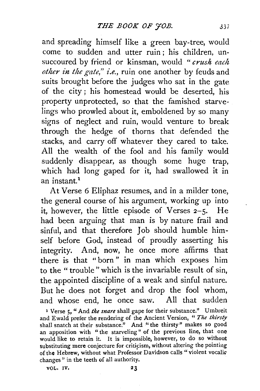and spreading himself like a green bay-tree, would come to sudden and utter ruin ; his children, unsuccoured by friend or kinsman, would " *crush each other in the gate," i.e.,* ruin one another by feuds and suits brought before the judges who sat in the gate of the city ; his homestead would be deserted, his property unprotected, so that the famished starvelings who prowled about it, emboldened by so many signs of neglect and ruin, would venture to break through the hedge of thorns that defended the stacks, and carry off whatever they cared to take. All the wealth of the fool and his family would suddenly disappear, as though some huge trap, which had long gaped for it, had swallowed it in an instant.<sup>1</sup>

At Verse 6 Eliphaz resumes, and in a milder tone, the general course of his argument, working up into it, however, the little episode of Verses 2-5. He had been arguing that man is by nature frail and sinful, and that therefore Job should humble himself before God, instead of proudly asserting his integrity. And, now, he once more affirms that there is that "born" in man which exposes him to the " trouble" which is the invariable result of sin. the appointed discipline of a weak and sinful nature. But he does not forget and drop the fool whom, and whose end, he once saw. All that sudden

x Verse 5, "And *tke snare* shall gape for their substance." Umbreit and Ewald prefer the rendering of the Ancient Version, " The thirsty shall snatch at their substance." And "the thirsty" makes so good an apposition with "the starveling" of the previous line, that one would like to retain it. It is impossible, however, to do so without substituting mere conjecture for criticism, without altering the pointing of the Hebrew, without what Professor Davidson calls "violent vocalic changes" in the teeth of all authority.

VOL. IV. 23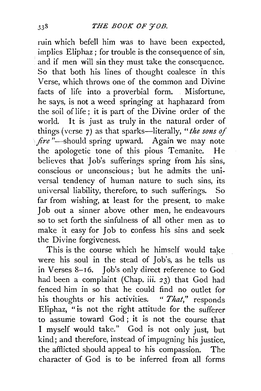ruin which befell him was to have been expected, implies Eliphaz; for trouble is the consequence of sin, and if men will sin they must take the consequence. So that both his lines of thought coalesce in this Verse, which throws one of the common and Divine facts of life into a proverbial form. Misfortune, he says, is not a weed springing at haphazard from the soil of life ; it is part of the Divine order of the world. It is just as truly in the natural order of things (verse *7)* as that sparks-literally, *"the sons of fire* "-should spring upward. Again we may note the apologetic tone of this pious Temanite. He believes that Job's sufferings spring from his sins, conscious or unconscious ; but he admits the universal tendency of human nature to such sins, its universal liability, therefore, to such sufferings. So far from wishing, at least for the present, to make Job out a sinner above other men, he endeavours so to set forth the sinfulness of all other men as to make it easy for Job to confess his sins and seek the Divine forgiveness.

This is the course which he himself would take were his soul in the stead of Job's, as he tells us in Verses 8-16. Job's only direct reference to God had been a complaint. (Chap. iii. *23)* that God had fenced him in so that he could find no outlet for his thoughts or his activities. " *That,"* responds Eliphaz, "is not the right attitude for the sufferer to assume toward God ; it is not the course that I myself would take." God is not only just, but kind; and therefore, instead of impugning his justice, the afflicted should appeal to his compassion. The character of God is to be inferred from all forms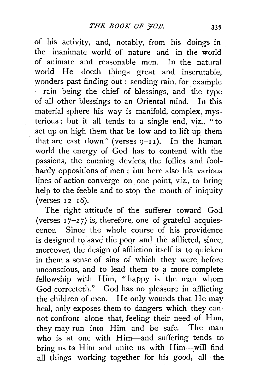of his activity, and, notably, from his doings in the inanimate world of nature and in the world of animate and reasonable men. In the natural world He doeth things great and inscrutable, wonders past finding out : sending rain, for example -rain being the chief of blessings, and the type of all other blessings to an Oriental mind. In this material sphere his way is manifold, complex, mysterious ; but it all tends to a single end, viz., " to set up on high them that be low and to lift up them that are cast down" (verses  $9-I1$ ). In the human world the energy of God has to contend with the passions, the cunning devices, the follies and foolhardy oppositions of men ; but here also his various lines of action converge on one point, viz., to bring help to the feeble and to stop the mouth of iniquity (verses  $12-16$ ).

The right attitude of the sufferer toward God (verses  $17-27$ ) is, therefore, one of grateful acquiescence. Since the whole course of his providence is designed to save the poor and the afflicted, since, moreover, the design of affliction itself is to quicken in them a sense of sins of which they were before unconscious, and to lead them to a more complete fellowship with Him, "happy is the man whom God correcteth." God has no pleasure in afflicting the children of men. He only wounds that He may heal, only exposes them to dangers which they cannot confront alone that, feeling their need of Him, they may run into Him and be safe. The man who is at one with Him-and suffering tends to bring us to Him and unite us with Him-will find all things working together for his good, all the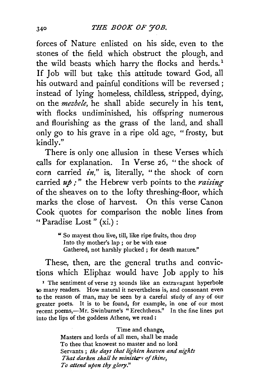forces of Nature enlisted on his side, even to the stones of the field which obstruct the plough, and the wild beasts which harry the flocks and herds.<sup>1</sup> If Job will but take this attitude toward God, all his outward and painful conditions will be reversed ; instead of lying homeless, childless, stripped, dying, on the *mezbele,* he shall abide securely in his tent, with flocks undiminished, his offspring numerous and flourishing as the grass of the land, and shall only go to his grave in a ripe old age, "frosty, but kindly."

There is only one allusion in these Verses which calls for explanation. In Verse 26, " the shock of corn carried  $in,$ " is, literally, "the shock of corn carried  $u\phi$ ;" the Hebrew verb points to the *raising* of the sheaves on to the lofty threshing-floor, which marks the close of harvest. On this verse Canon Cook quotes for comparison the noble lines from "Paradise Lost" (xi.) :

> " So mayest thou live, till, like ripe fruits, thou drop Into thy mother's lap ; or be with ease Gathered, not harshly plucked ; for death mature."

These, then, are the general truths and convictions which Eliphaz would have Job apply to his <sup>1</sup> The sentiment of verse 23 sounds like an extravagant hyperbole to many readers. How natural it nevertheless is, and consonant even to the reason of man, may be seen by a careful sfudy of any of our greater poets. It is to be found, for example, in one of our most recent poems,-Mr. Swinburne's "Erechtheus." In the fine lines put into the lips of the goddess Athene, we read :

> Time and change, Masters and lords of all men, shall be made To thee that knowest no master and no lord Servants ; the days that lighten heaven and nights *That darken shall be minists of thine, To attend upon thy glory."*